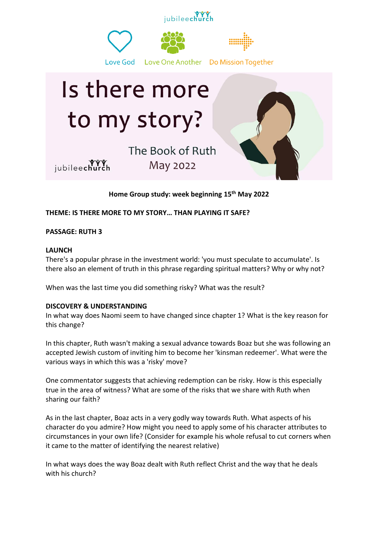

**Home Group study: week beginning 15th May 2022**

**THEME: IS THERE MORE TO MY STORY… THAN PLAYING IT SAFE?**

**PASSAGE: RUTH 3**

## **LAUNCH**

There's a popular phrase in the investment world: 'you must speculate to accumulate'. Is there also an element of truth in this phrase regarding spiritual matters? Why or why not?

When was the last time you did something risky? What was the result?

## **DISCOVERY & UNDERSTANDING**

In what way does Naomi seem to have changed since chapter 1? What is the key reason for this change?

In this chapter, Ruth wasn't making a sexual advance towards Boaz but she was following an accepted Jewish custom of inviting him to become her 'kinsman redeemer'. What were the various ways in which this was a 'risky' move?

One commentator suggests that achieving redemption can be risky. How is this especially true in the area of witness? What are some of the risks that we share with Ruth when sharing our faith?

As in the last chapter, Boaz acts in a very godly way towards Ruth. What aspects of his character do you admire? How might you need to apply some of his character attributes to circumstances in your own life? (Consider for example his whole refusal to cut corners when it came to the matter of identifying the nearest relative)

In what ways does the way Boaz dealt with Ruth reflect Christ and the way that he deals with his church?